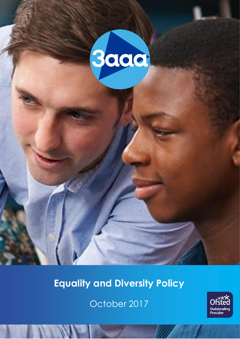

# **Equality and Diversity Policy**

October 2017

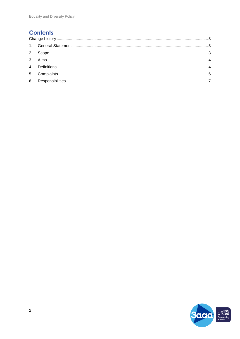## **Contents**

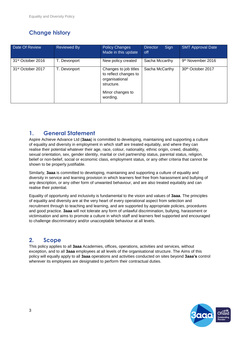## <span id="page-2-0"></span>**Change history**

| Date Of Review                | <b>Reviewed By</b> | <b>Policy Changes</b><br>Made in this update                                                                   | <b>Director</b><br>Sign<br>off | <b>SMT Approval Date</b>      |
|-------------------------------|--------------------|----------------------------------------------------------------------------------------------------------------|--------------------------------|-------------------------------|
| 31 <sup>st</sup> October 2016 | T. Devonport       | New policy created                                                                                             | Sacha Mccarthy                 | 9 <sup>th</sup> November 2016 |
| 31 <sup>st</sup> October 2017 | T. Devonport       | Changes to job titles<br>to reflect changes to<br>organisational<br>structure.<br>Minor changes to<br>wording. | Sacha McCarthy                 | 30th October 2017             |

## <span id="page-2-1"></span>**1. General Statement**

Aspire Achieve Advance Ltd (**3aaa**) is committed to developing, maintaining and supporting a culture of equality and diversity in employment in which staff are treated equitably, and where they can realise their potential whatever their age, race, colour, nationality, ethnic origin, creed, disability, sexual orientation, sex, gender identity, marital or civil partnership status, parental status, religion, belief or non-belief, social or economic class, employment status, or any other criteria that cannot be shown to be properly justifiable.

Similarly, **3aaa** is committed to developing, maintaining and supporting a culture of equality and diversity in service and learning provision in which learners feel free from harassment and bullying of any description, or any other form of unwanted behaviour, and are also treated equitably and can realise their potential.

Equality of opportunity and inclusivity is fundamental to the vision and values of **3aaa**. The principles of equality and diversity are at the very heart of every operational aspect from selection and recruitment through to teaching and learning, and are supported by appropriate policies, procedures and good practice. **3aaa** will not tolerate any form of unlawful discrimination, bullying, harassment or victimisation and aims to promote a culture in which staff and learners feel supported and encouraged to challenge discriminatory and/or unacceptable behaviour at all levels.

## <span id="page-2-2"></span>**2. Scope**

This policy applies to all **3aaa** Academies, offices, operations, activities and services, without exception, and to all **3aaa** employees at all levels of the organisational structure. The Aims of this policy will equally apply to all **3aaa** operations and activities conducted on sites beyond **3aaa's** control wherever its employees are designated to perform their contractual duties.

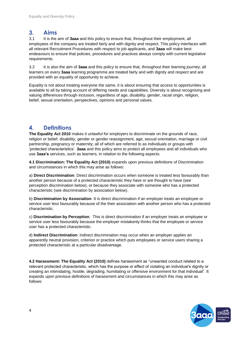#### <span id="page-3-0"></span>**3. Aims**

3.1 It is the aim of **3aaa** and this policy to ensure that, throughout their employment, all employees of the company are treated fairly and with dignity and respect. This policy interfaces with all relevant Recruitment Procedures with respect to job applicants, and **3aaa** will make best endeavours to ensure that policies, procedures and practices always comply with current legislative requirements.

3.2 It is also the aim of **3aaa** and this policy to ensure that, throughout their learning journey, all learners on every **3aaa** learning programme are treated fairly and with dignity and respect and are provided with an equality of opportunity to achieve.

Equality is not about treating everyone the same, it is about ensuring that access to opportunities is available to all by taking account of differing needs and capabilities. Diversity is about recognising and valuing differences through inclusion, regardless of age, disability, gender, racial origin, religion, belief, sexual orientation, perspectives, opinions and personal values.

### <span id="page-3-1"></span>**4. Definitions**

**The Equality Act 2010** makes it unlawful for employers to discriminate on the grounds of race, religion or belief, disability, gender or gender reassignment, age, sexual orientation, marriage or civil partnership, pregnancy or maternity; all of which are referred to as individuals or groups with 'protected characteristics'. **3aaa** and this policy aims to protect all employees and all individuals who use **3aaa's** services, such as learners, in relation to the following aspects.

**4.1 Discrimination: The Equality Act (2010)** expands upon previous definitions of Discrimination and circumstances in which this may arise as follows:

a) **Direct Discrimination**: Direct discrimination occurs when someone is treated less favourably than another person because of a protected characteristic they have or are thought to have (see perception discrimination below), or because they associate with someone who has a protected characteristic (see discrimination by association below).

b) **Discrimination by Association**: It is direct discrimination if an employer treats an employee or service user less favourably because of the their association with another person who has a protected characteristic.

c) **Discrimination by Perception**: This is direct discrimination if an employer treats an employee or service user less favourably because the employer mistakenly thinks that the employee or service user has a protected characteristic.

d) **Indirect Discrimination**: Indirect discrimination may occur when an employer applies an apparently neutral provision, criterion or practice which puts employees or service users sharing a protected characteristic at a particular disadvantage.

**4.2 Harassment: The Equality Act (2010)** defines harassment as "unwanted conduct related to a relevant protected characteristic, which has the purpose or effect of violating an individual's dignity or creating an intimidating, hostile, degrading, humiliating or offensive environment for that individual". It expands upon previous definitions of harassment and circumstances in which this may arise as follows:

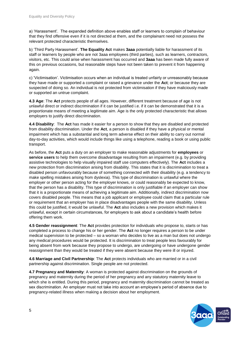a) 'Harassment'. The expanded definition above enables staff or learners to complain of behaviour that they find offensive even if it is not directed at them, and the complainant need not possess the relevant protected characteristic themselves.

b) 'Third Party Harassment'. **The Equality Act** makes **3aaa** potentially liable for harassment of its staff or learners by people who are not 3aaa employees (third parties), such as learners, contractors, visitors, etc. This could arise when harassment has occurred and **3aaa** has been made fully aware of this on previous occasions, but reasonable steps have not been taken to prevent it from happening again.

c) 'Victimisation'. Victimisation occurs when an individual is treated unfairly or unreasonably because they have made or supported a complaint or raised a grievance under the **Act**; or because they are suspected of doing so. An individual is not protected from victimisation if they have maliciously made or supported an untrue complaint.

**4.3 Age**: The **Act** protects people of all ages. However, different treatment because of age is not unlawful direct or indirect discrimination if it can be justified i.e. if it can be demonstrated that it is a proportionate means of meeting a legitimate aim. Age is the only protected characteristic that allows employers to justify direct discrimination.

**4.4 Disability**: The **Act** has made it easier for a person to show that they are disabled and protected from disability discrimination. Under the **Act**, a person is disabled if they have a physical or mental impairment which has a substantial and long term adverse effect on their ability to carry out normal day-to-day activities, which would include things like using a telephone, reading a book or using public transport.

As before, the **Act** puts a duty on an employer to make reasonable adjustments for **employees** or **service users** to help them overcome disadvantage resulting from an impairment (e.g. by providing assistive technologies to help visually impaired staff use computers effectively). The **Act** includes a new protection from discrimination arising from disability. This states that it is discrimination to treat a disabled person unfavourably because of something connected with their disability (e.g. a tendency to make spelling mistakes arising from dyslexia). This type of discrimination is unlawful where the employer or other person acting for the employer knows, or could reasonably be expected to know, that the person has a disability. This type of discrimination is only justifiable if an employer can show that it is a proportionate means of achieving a legitimate aim. Additionally, indirect discrimination now covers disabled people. This means that a job applicant or employee could claim that a particular rule or requirement that an employer has in place disadvantages people with the same disability. Unless this could be justified, it would be unlawful. The **Act** also includes a new provision which makes it unlawful, except in certain circumstances, for employers to ask about a candidate's health before offering them work.

**4.5 Gender reassignment**: The **Act** provides protection for individuals who propose to, starts or has completed a process to change his or her gender. The **Act** no longer requires a person to be under medical supervision to be protected – so a woman who decides to live as a man but does not undergo any medical procedures would be protected. It is discrimination to treat people less favourably for being absent from work because they propose to undergo, are undergoing or have undergone gender reassignment than they would be treated if they were absent because they were ill or injured.

**4.6 Marriage and Civil Partnership**: The **Act** protects individuals who are married or in a civil partnership against discrimination. Single people are not protected.

**4.7 Pregnancy and Maternity**: A woman is protected against discrimination on the grounds of pregnancy and maternity during the period of her pregnancy and any statutory maternity leave to which she is entitled. During this period, pregnancy and maternity discrimination cannot be treated as sex discrimination. An employer must not take into account an employee's period of absence due to pregnancy-related illness when making a decision about her employment.

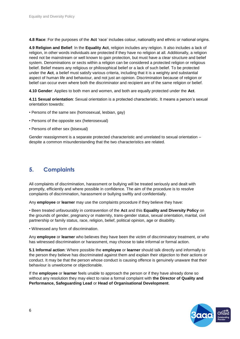**4.8 Race**: For the purposes of the **Act** 'race' includes colour, nationality and ethnic or national origins.

**4.9 Religion and Belief**: In the **Equality Act**, religion includes any religion. It also includes a lack of religion, in other words individuals are protected if they have no religion at all. Additionally, a religion need not be mainstream or well known to gain protection, but must have a clear structure and belief system. Denominations or sects within a religion can be considered a protected religion or religious belief. Belief means any religious or philosophical belief or a lack of such belief. To be protected under the **Act**, a belief must satisfy various criteria, including that it is a weighty and substantial aspect of human life and behaviour, and not just an opinion. Discrimination because of religion or belief can occur even where both the discriminator and recipient are of the same religion or belief.

**4.10 Gender**: Applies to both men and women, and both are equally protected under the **Act**.

**4.11 Sexual orientation**: Sexual orientation is a protected characteristic. It means a person's sexual orientation towards:

- Persons of the same sex (homosexual, lesbian, gay)
- Persons of the opposite sex (heterosexual)
- Persons of either sex (bisexual)

Gender reassignment is a separate protected characteristic and unrelated to sexual orientation – despite a common misunderstanding that the two characteristics are related.

#### <span id="page-5-0"></span>**5. Complaints**

All complaints of discrimination, harassment or bullying will be treated seriously and dealt with promptly, efficiently and where possible in confidence. The aim of the procedure is to resolve complaints of discrimination, harassment or bullying swiftly and confidentially.

Any **employee** or **learner** may use the complaints procedure if they believe they have:

• Been treated unfavourably in contravention of the **Act** and this **Equality and Diversity Policy** on the grounds of gender, pregnancy or maternity, trans-gender status, sexual orientation, marital, civil partnership or family status, race, religion, belief, political opinion, age or disability.

• Witnessed any form of discrimination.

Any **employee** or **learner** who believes they have been the victim of discriminatory treatment, or who has witnessed discrimination or harassment, may choose to take informal or formal action.

**5.1 Informal action**: Where possible the **employee** or **learner** should talk directly and informally to the person they believe has discriminated against them and explain their objection to their actions or conduct. It may be that the person whose conduct is causing offence is genuinely unaware that their behaviour is unwelcome or objectionable.

If the **employee** or **learner** feels unable to approach the person or if they have already done so without any resolution they may elect to raise a formal complaint with **the Director of Quality and Performance, Safeguarding Lead** or **Head of Organisational Development**.

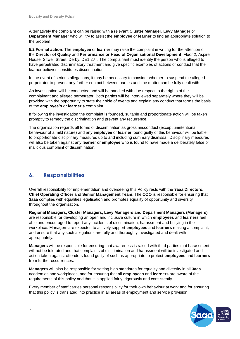Alternatively the complaint can be raised with a relevant **Cluster Manager**, **Levy Manager** or **Department Manager** who will try to assist the **employee** or **learner** to find an appropriate solution to the problem.

**5.2 Formal action**: The **employee** or **learner** may raise the complaint in writing for the attention of the **Director of Quality** and **Performance or Head of Organisational Development**, Floor 2, Aspire House, Sitwell Street. Derby. DE1 2JT. The complainant must identify the person who is alleged to have perpetrated discriminatory treatment and give specific examples of actions or conduct that the learner believes constitutes discrimination.

In the event of serious allegations, it may be necessary to consider whether to suspend the alleged perpetrator to prevent any further contact between parties until the matter can be fully dealt with.

An investigation will be conducted and will be handled with due respect to the rights of the complainant and alleged perpetrator. Both parties will be interviewed separately where they will be provided with the opportunity to state their side of events and explain any conduct that forms the basis of the **employee's** or **learner's** complaint.

If following the investigation the complaint is founded, suitable and proportionate action will be taken promptly to remedy the discrimination and prevent any recurrence.

The organisation regards all forms of discrimination as gross misconduct (except unintentional behaviour of a mild nature) and any **employee** or **learner** found guilty of this behaviour will be liable to proportionate disciplinary measures up to and including summary dismissal. Disciplinary measures will also be taken against any **learner** or **employee** who is found to have made a deliberately false or malicious complaint of discrimination.

### <span id="page-6-0"></span>**6. Responsibilities**

Overall responsibility for implementation and overseeing this Policy rests with the **3aaa Directors**, **Chief Operating Officer** and **Senior Management Team**. The **COO** is responsible for ensuring that **3aaa** complies with equalities legalisation and promotes equality of opportunity and diversity throughout the organisation.

**Regional Managers, Cluster Managers, Levy Managers and Department Managers (Managers)** are responsible for developing an open and inclusive culture in which **employees** and **learners** feel able and encouraged to report any incidents of discrimination, harassment and bullying in the workplace. Managers are expected to actively support **employees** and **learners** making a complaint, and ensure that any such allegations are fully and thoroughly investigated and dealt with appropriately.

**Managers** will be responsible for ensuring that awareness is raised with third parties that harassment will not be tolerated and that complaints of discrimination and harassment will be investigated and action taken against offenders found guilty of such as appropriate to protect **employees** and **learners** from further occurrences.

**Managers** will also be responsible for setting high standards for equality and diversity in all **3aaa** academies and workplaces, and for ensuring that all **employees** and **learners** are aware of the requirements of this policy and that it is applied fairly, rigorously and consistently.

Every member of staff carries personal responsibility for their own behaviour at work and for ensuring that this policy is translated into practice in all areas of employment and service provision.